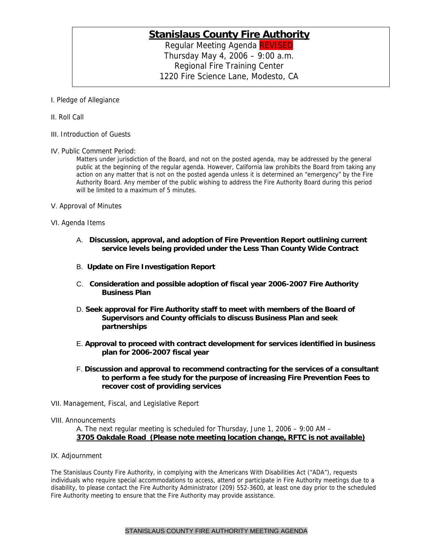## **Stanislaus County Fire Authority**

Regular Meeting Agenda REVISED Thursday May 4, 2006 – 9:00 a.m. Regional Fire Training Center 1220 Fire Science Lane, Modesto, CA

I. Pledge of Allegiance

- II. Roll Call
- III. Introduction of Guests
- IV. Public Comment Period:

Matters under jurisdiction of the Board, and not on the posted agenda, may be addressed by the general public at the beginning of the regular agenda. However, California law prohibits the Board from taking any action on any matter that is not on the posted agenda unless it is determined an "emergency" by the Fire Authority Board. Any member of the public wishing to address the Fire Authority Board during this period will be limited to a maximum of 5 minutes.

- V. Approval of Minutes
- VI. Agenda Items
	- A. **Discussion, approval, and adoption of Fire Prevention Report outlining current service levels being provided under the Less Than County Wide Contract**
	- B. **Update on Fire Investigation Report**
	- C. **Consideration and possible adoption of fiscal year 2006-2007 Fire Authority Business Plan**
	- D. **Seek approval for Fire Authority staff to meet with members of the Board of Supervisors and County officials to discuss Business Plan and seek partnerships**
	- E. **Approval to proceed with contract development for services identified in business plan for 2006-2007 fiscal year**
	- F. **Discussion and approval to recommend contracting for the services of a consultant to perform a fee study for the purpose of increasing Fire Prevention Fees to recover cost of providing services**
- VII. Management, Fiscal, and Legislative Report
- VIII. Announcements

A. The next regular meeting is scheduled for Thursday, June 1, 2006 – 9:00 AM – **3705 Oakdale Road (Please note meeting location change, RFTC is not available)**

IX. Adjournment

The Stanislaus County Fire Authority, in complying with the Americans With Disabilities Act ("ADA"), requests individuals who require special accommodations to access, attend or participate in Fire Authority meetings due to a disability, to please contact the Fire Authority Administrator (209) 552-3600, at least one day prior to the scheduled Fire Authority meeting to ensure that the Fire Authority may provide assistance.

## STANISLAUS COUNTY FIRE AUTHORITY MEETING AGENDA